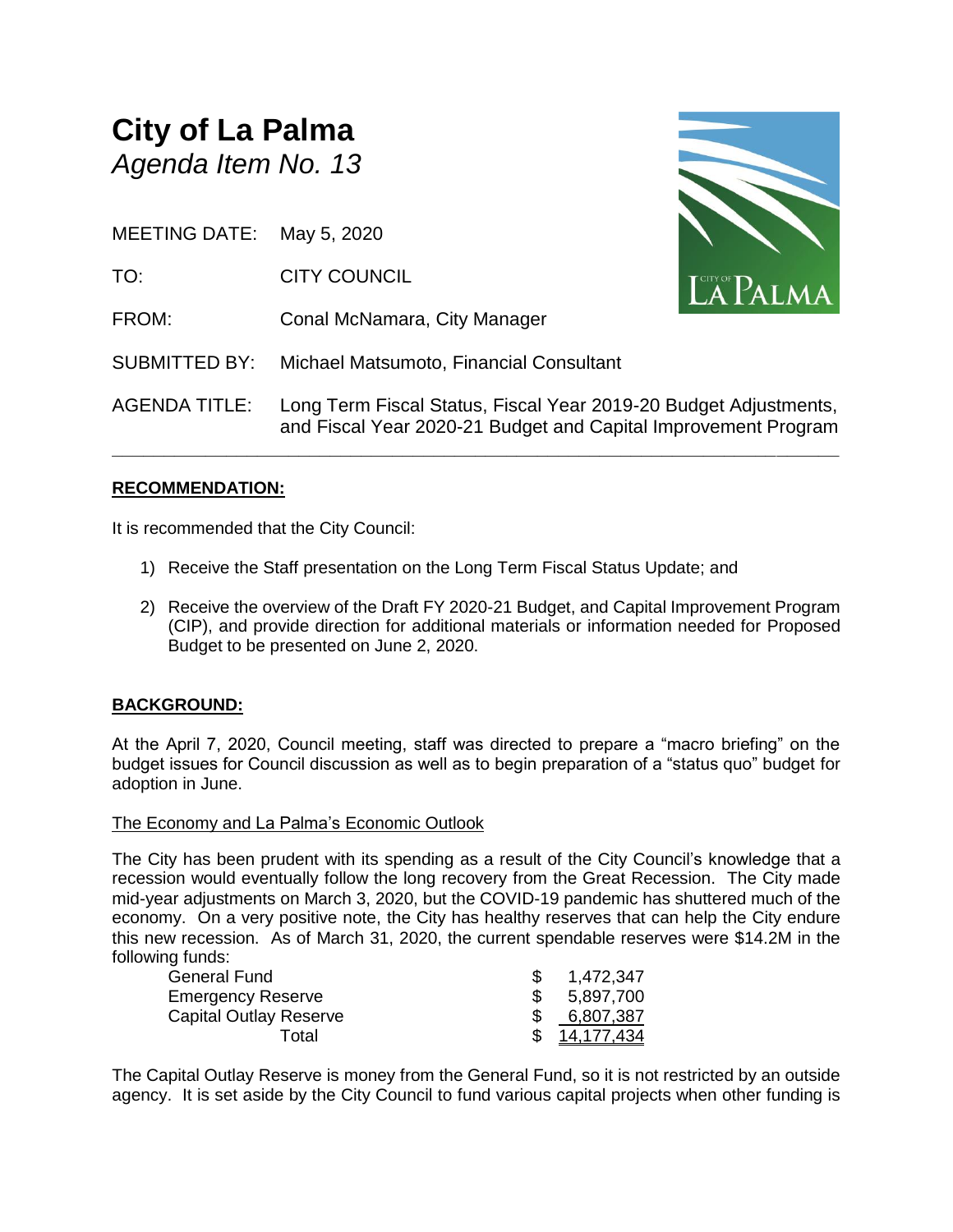# **City of La Palma** *Agenda Item No. 13*

MEETING DATE: May 5, 2020

- TO: CITY COUNCIL
- FROM: Conal McNamara, City Manager

SUBMITTED BY: Michael Matsumoto, Financial Consultant

AGENDA TITLE: Long Term Fiscal Status, Fiscal Year 2019-20 Budget Adjustments, and Fiscal Year 2020-21 Budget and Capital Improvement Program

**\_\_\_\_\_\_\_\_\_\_\_\_\_\_\_\_\_\_\_\_\_\_\_\_\_\_\_\_\_\_\_\_\_\_\_\_\_\_\_\_\_\_\_\_\_\_\_\_\_\_\_\_\_\_\_\_\_\_\_\_\_\_\_\_\_\_\_\_\_\_**

#### **RECOMMENDATION:**

It is recommended that the City Council:

- 1) Receive the Staff presentation on the Long Term Fiscal Status Update; and
- 2) Receive the overview of the Draft FY 2020-21 Budget, and Capital Improvement Program (CIP), and provide direction for additional materials or information needed for Proposed Budget to be presented on June 2, 2020.

#### **BACKGROUND:**

At the April 7, 2020, Council meeting, staff was directed to prepare a "macro briefing" on the budget issues for Council discussion as well as to begin preparation of a "status quo" budget for adoption in June.

#### The Economy and La Palma's Economic Outlook

The City has been prudent with its spending as a result of the City Council's knowledge that a recession would eventually follow the long recovery from the Great Recession. The City made mid-year adjustments on March 3, 2020, but the COVID-19 pandemic has shuttered much of the economy. On a very positive note, the City has healthy reserves that can help the City endure this new recession. As of March 31, 2020, the current spendable reserves were \$14.2M in the following funds:

| <b>General Fund</b>           | 1,472,347         |
|-------------------------------|-------------------|
| <b>Emergency Reserve</b>      | 5,897,700         |
| <b>Capital Outlay Reserve</b> | 6,807,387         |
| Total                         | <u>14.177.434</u> |

The Capital Outlay Reserve is money from the General Fund, so it is not restricted by an outside agency. It is set aside by the City Council to fund various capital projects when other funding is

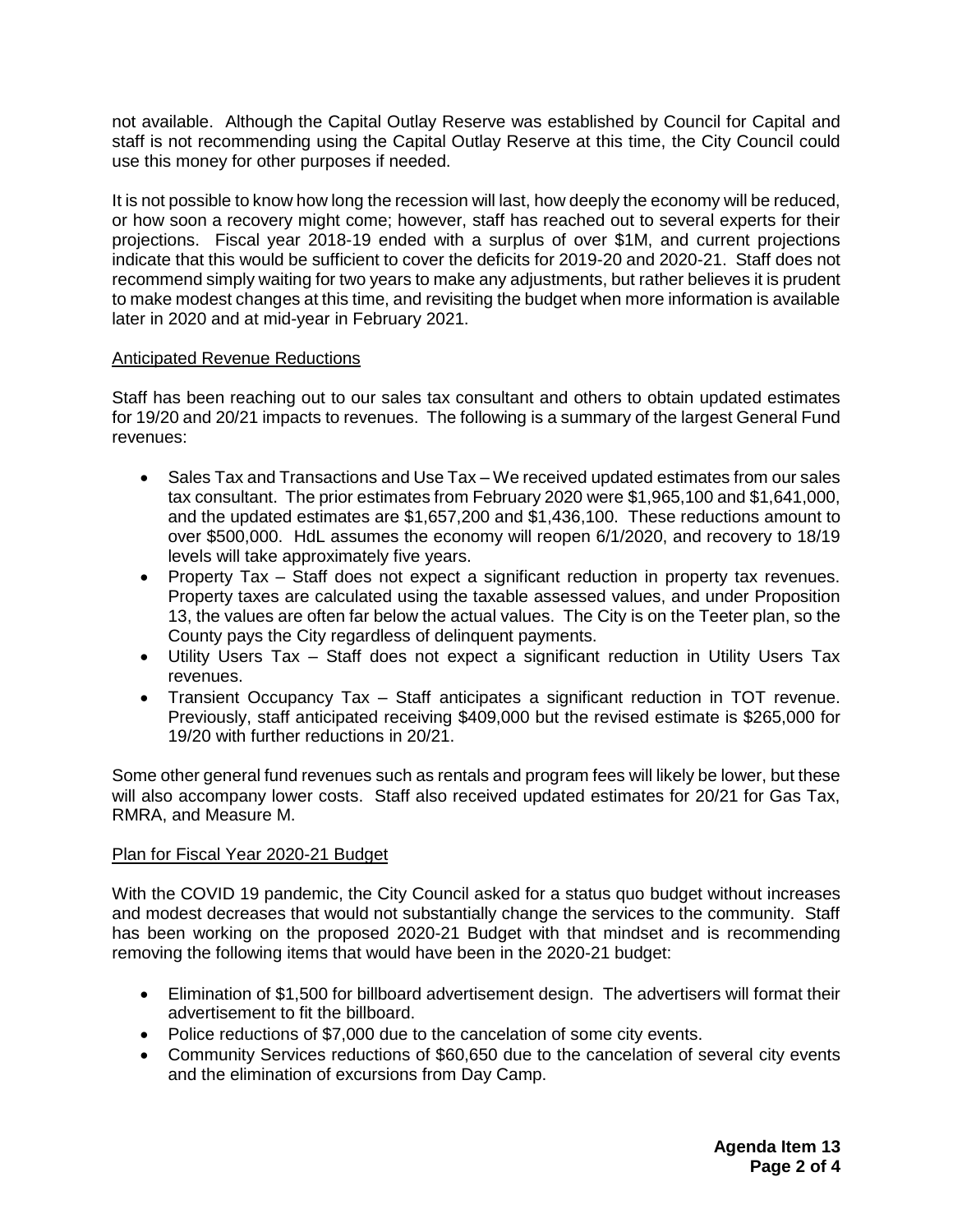not available. Although the Capital Outlay Reserve was established by Council for Capital and staff is not recommending using the Capital Outlay Reserve at this time, the City Council could use this money for other purposes if needed.

It is not possible to know how long the recession will last, how deeply the economy will be reduced, or how soon a recovery might come; however, staff has reached out to several experts for their projections. Fiscal year 2018-19 ended with a surplus of over \$1M, and current projections indicate that this would be sufficient to cover the deficits for 2019-20 and 2020-21. Staff does not recommend simply waiting for two years to make any adjustments, but rather believes it is prudent to make modest changes at this time, and revisiting the budget when more information is available later in 2020 and at mid-year in February 2021.

#### Anticipated Revenue Reductions

Staff has been reaching out to our sales tax consultant and others to obtain updated estimates for 19/20 and 20/21 impacts to revenues. The following is a summary of the largest General Fund revenues:

- Sales Tax and Transactions and Use Tax We received updated estimates from our sales tax consultant. The prior estimates from February 2020 were \$1,965,100 and \$1,641,000, and the updated estimates are \$1,657,200 and \$1,436,100. These reductions amount to over \$500,000. HdL assumes the economy will reopen 6/1/2020, and recovery to 18/19 levels will take approximately five years.
- Property Tax Staff does not expect a significant reduction in property tax revenues. Property taxes are calculated using the taxable assessed values, and under Proposition 13, the values are often far below the actual values. The City is on the Teeter plan, so the County pays the City regardless of delinquent payments.
- Utility Users Tax Staff does not expect a significant reduction in Utility Users Tax revenues.
- Transient Occupancy Tax Staff anticipates a significant reduction in TOT revenue. Previously, staff anticipated receiving \$409,000 but the revised estimate is \$265,000 for 19/20 with further reductions in 20/21.

Some other general fund revenues such as rentals and program fees will likely be lower, but these will also accompany lower costs. Staff also received updated estimates for 20/21 for Gas Tax, RMRA, and Measure M.

#### Plan for Fiscal Year 2020-21 Budget

With the COVID 19 pandemic, the City Council asked for a status quo budget without increases and modest decreases that would not substantially change the services to the community. Staff has been working on the proposed 2020-21 Budget with that mindset and is recommending removing the following items that would have been in the 2020-21 budget:

- Elimination of \$1,500 for billboard advertisement design. The advertisers will format their advertisement to fit the billboard.
- Police reductions of \$7,000 due to the cancelation of some city events.
- Community Services reductions of \$60,650 due to the cancelation of several city events and the elimination of excursions from Day Camp.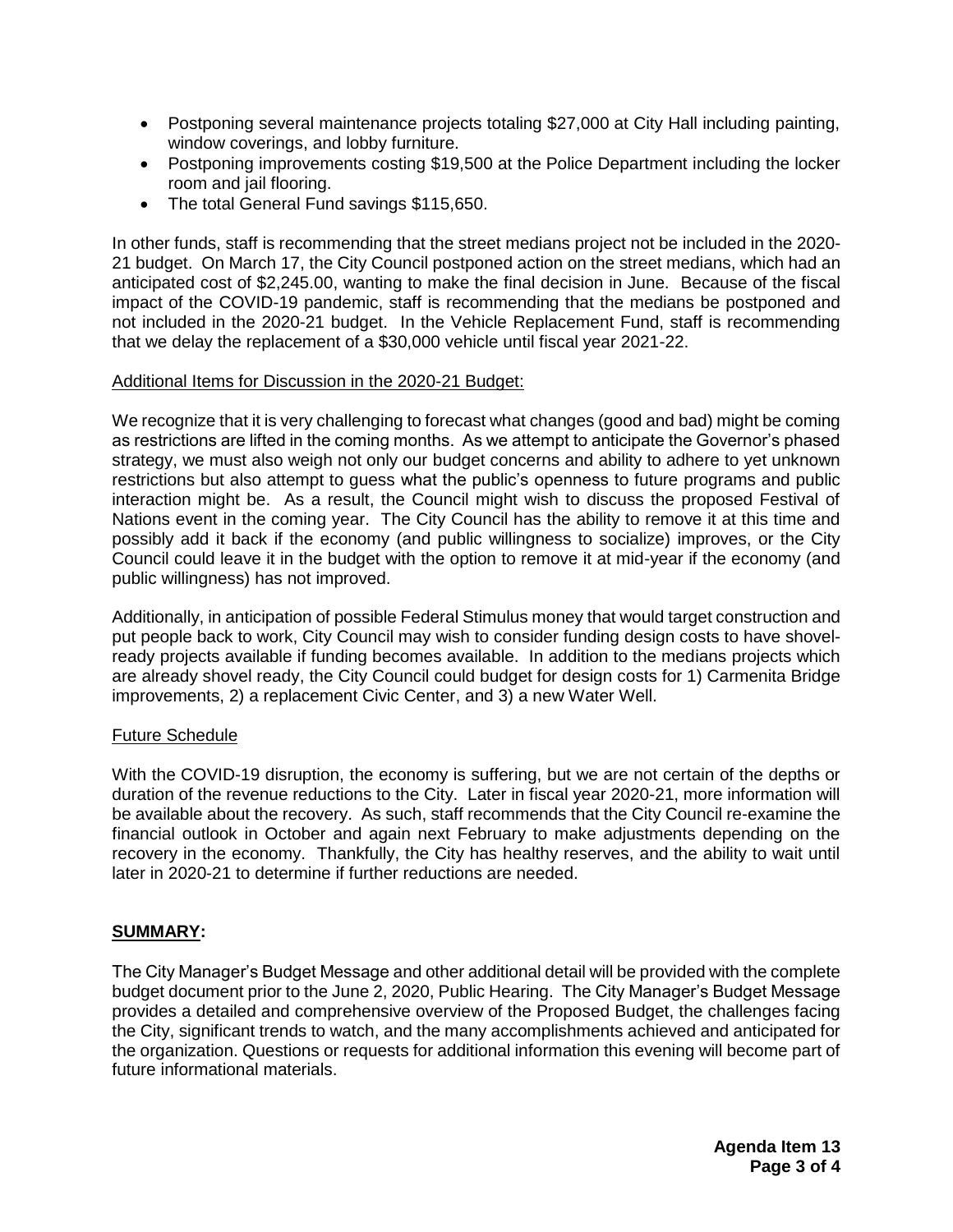- Postponing several maintenance projects totaling \$27,000 at City Hall including painting, window coverings, and lobby furniture.
- Postponing improvements costing \$19,500 at the Police Department including the locker room and jail flooring.
- The total General Fund savings \$115,650.

In other funds, staff is recommending that the street medians project not be included in the 2020- 21 budget. On March 17, the City Council postponed action on the street medians, which had an anticipated cost of \$2,245.00, wanting to make the final decision in June. Because of the fiscal impact of the COVID-19 pandemic, staff is recommending that the medians be postponed and not included in the 2020-21 budget. In the Vehicle Replacement Fund, staff is recommending that we delay the replacement of a \$30,000 vehicle until fiscal year 2021-22.

#### Additional Items for Discussion in the 2020-21 Budget:

We recognize that it is very challenging to forecast what changes (good and bad) might be coming as restrictions are lifted in the coming months. As we attempt to anticipate the Governor's phased strategy, we must also weigh not only our budget concerns and ability to adhere to yet unknown restrictions but also attempt to guess what the public's openness to future programs and public interaction might be. As a result, the Council might wish to discuss the proposed Festival of Nations event in the coming year. The City Council has the ability to remove it at this time and possibly add it back if the economy (and public willingness to socialize) improves, or the City Council could leave it in the budget with the option to remove it at mid-year if the economy (and public willingness) has not improved.

Additionally, in anticipation of possible Federal Stimulus money that would target construction and put people back to work, City Council may wish to consider funding design costs to have shovelready projects available if funding becomes available. In addition to the medians projects which are already shovel ready, the City Council could budget for design costs for 1) Carmenita Bridge improvements, 2) a replacement Civic Center, and 3) a new Water Well.

#### Future Schedule

With the COVID-19 disruption, the economy is suffering, but we are not certain of the depths or duration of the revenue reductions to the City. Later in fiscal year 2020-21, more information will be available about the recovery. As such, staff recommends that the City Council re-examine the financial outlook in October and again next February to make adjustments depending on the recovery in the economy. Thankfully, the City has healthy reserves, and the ability to wait until later in 2020-21 to determine if further reductions are needed.

#### **SUMMARY:**

The City Manager's Budget Message and other additional detail will be provided with the complete budget document prior to the June 2, 2020, Public Hearing. The City Manager's Budget Message provides a detailed and comprehensive overview of the Proposed Budget, the challenges facing the City, significant trends to watch, and the many accomplishments achieved and anticipated for the organization. Questions or requests for additional information this evening will become part of future informational materials.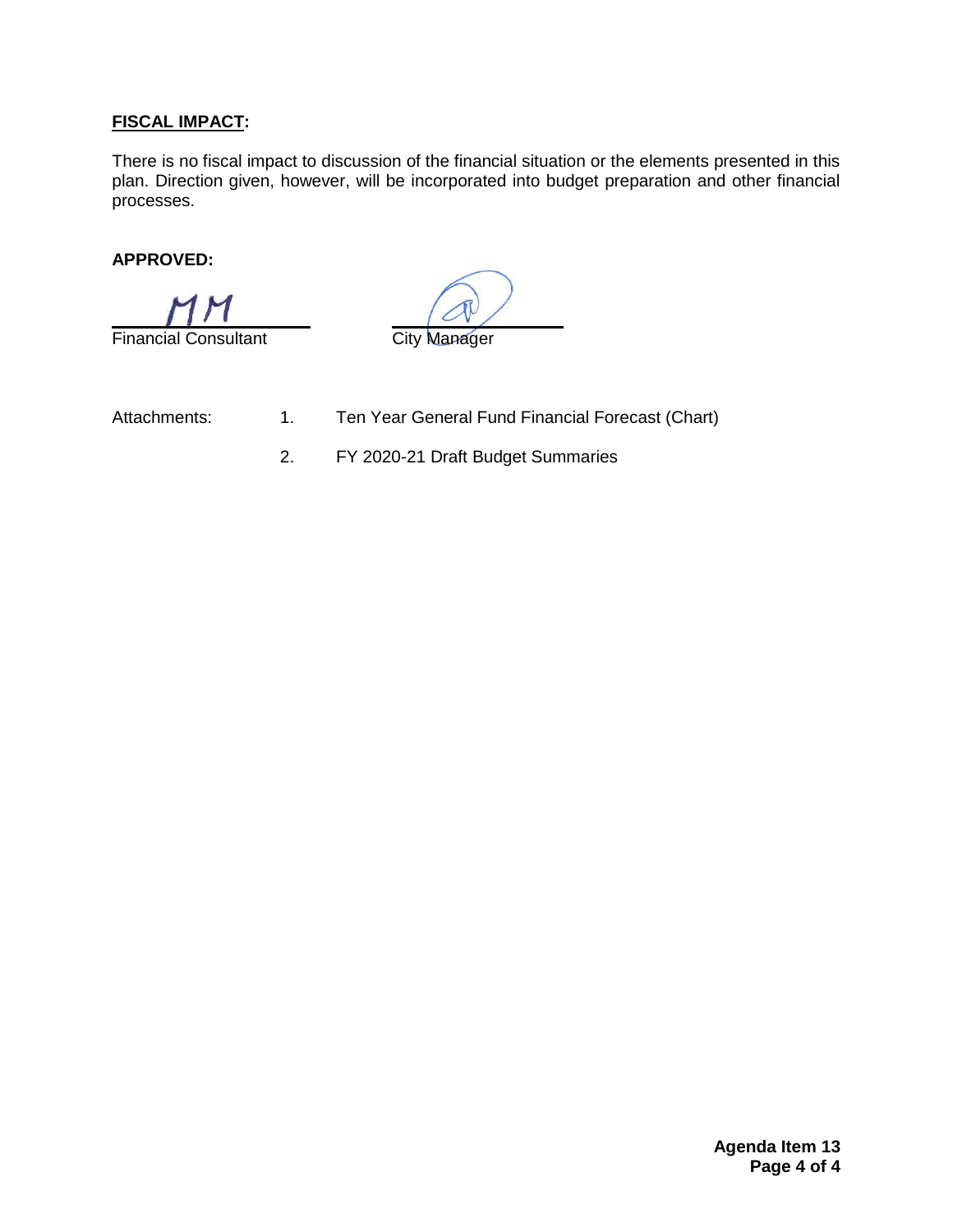## **FISCAL IMPACT:**

There is no fiscal impact to discussion of the financial situation or the elements presented in this plan. Direction given, however, will be incorporated into budget preparation and other financial processes.

### **APPROVED:**

Financial Consultant **City Manager** 

- Attachments: 1. Ten Year General Fund Financial Forecast (Chart)
	- 2. FY 2020-21 Draft Budget Summaries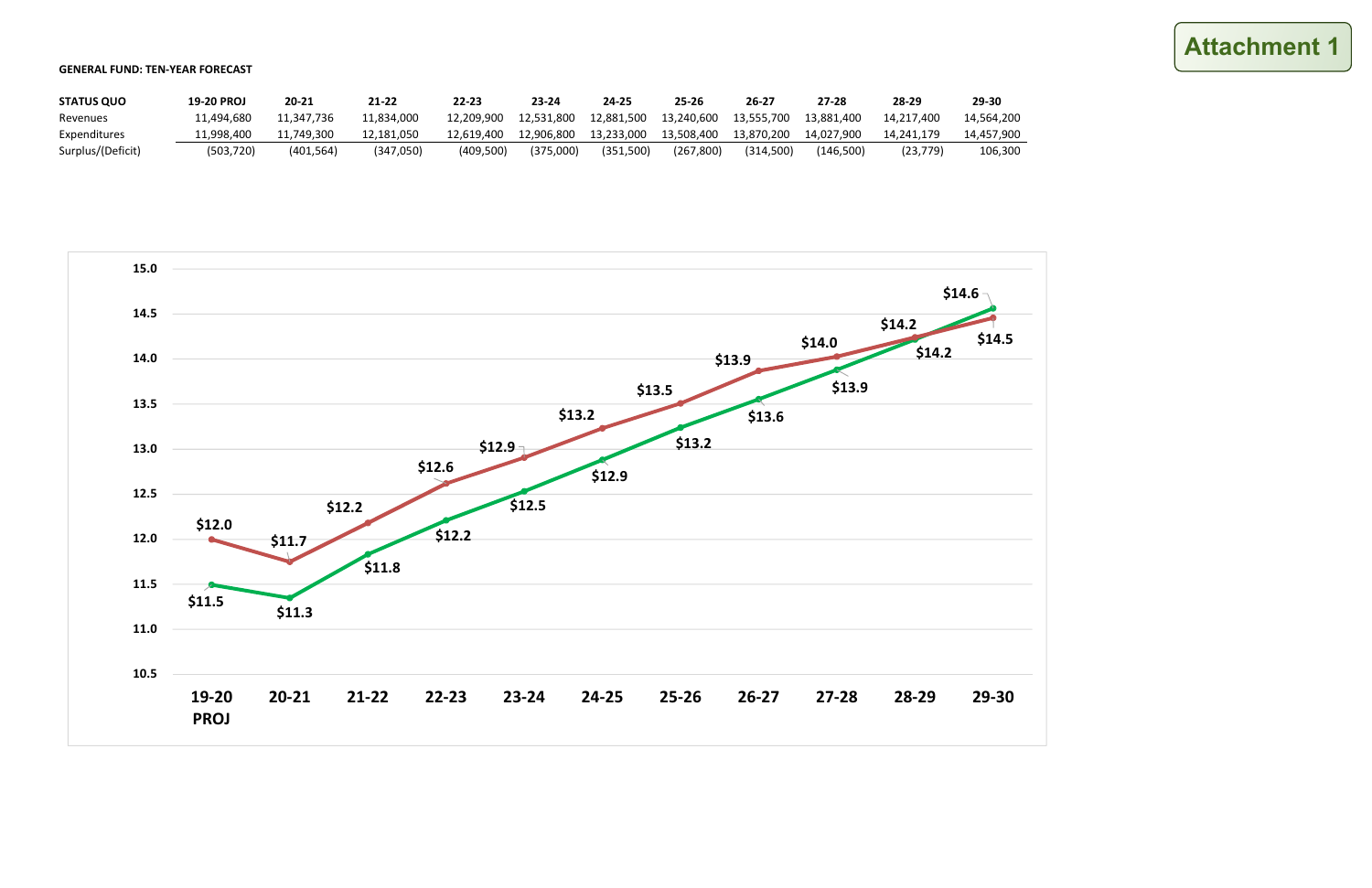#### GENERAL FUND: TEN-YEAR FORECAST

| <b>STATUS QUO</b> | <b>19-20 PROJ</b> | 20-21      | 21-22              | 22-23      | 23-24      | 24-25      | 25-26      | 26-27      | 27-28      | 28-29      | 29-30      |
|-------------------|-------------------|------------|--------------------|------------|------------|------------|------------|------------|------------|------------|------------|
| Revenues          | .1.494.680        | 11.347.736 | L <b>1.834.000</b> | 12.209.900 | 12.531.800 | 12.881.500 | 13.240.600 | 13,555,700 | 13.881.400 | 14.217.400 | 14.564.200 |
| Expenditures      | 1.998.400.        | 11.749.300 | 12.181.050         | 12.619.400 | 12.906.800 | 13.233.000 | 13.508.400 | 13.870.200 | 14.027.900 | 14.241.179 | 14,457,900 |
| Surplus/(Deficit) | (503.720)         | (401, 564) | (347,050)          | (409.500)  | (375.000)  | (351.500)  | (267, 800) | (314.500)  | (146.500)  | (23.779)   | 106,300    |



# **Attachment 1**

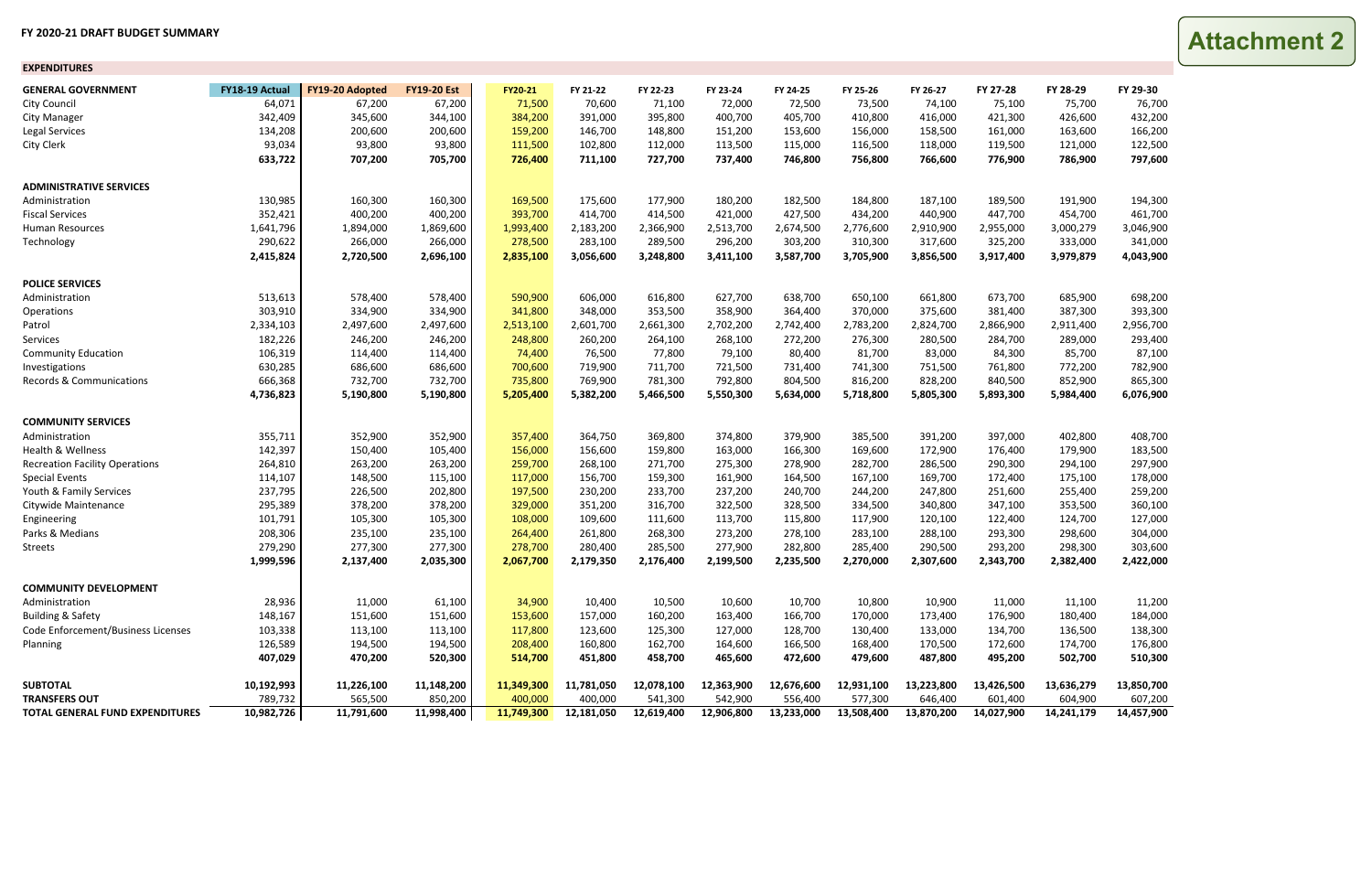#### **FY 2020‐21 DRAFT BUDGET SUMMARY**

| <b>EXPENDITURES</b>                   |                |                        |                    |                |            |            |            |            |            |            |            |            |            |
|---------------------------------------|----------------|------------------------|--------------------|----------------|------------|------------|------------|------------|------------|------------|------------|------------|------------|
| <b>GENERAL GOVERNMENT</b>             | FY18-19 Actual | <b>FY19-20 Adopted</b> | <b>FY19-20 Est</b> | <b>FY20-21</b> | FY 21-22   | FY 22-23   | FY 23-24   | FY 24-25   | FY 25-26   | FY 26-27   | FY 27-28   | FY 28-29   | FY 29-30   |
| <b>City Council</b>                   | 64,071         | 67,200                 | 67,200             | 71,500         | 70,600     | 71,100     | 72,000     | 72,500     | 73,500     | 74,100     | 75,100     | 75,700     | 76,700     |
| <b>City Manager</b>                   | 342,409        | 345,600                | 344,100            | 384,200        | 391,000    | 395,800    | 400,700    | 405,700    | 410,800    | 416,000    | 421,300    | 426,600    | 432,200    |
| <b>Legal Services</b>                 | 134,208        | 200,600                | 200,600            | 159,200        | 146,700    | 148,800    | 151,200    | 153,600    | 156,000    | 158,500    | 161,000    | 163,600    | 166,200    |
| <b>City Clerk</b>                     | 93,034         | 93,800                 | 93,800             | 111,500        | 102,800    | 112,000    | 113,500    | 115,000    | 116,500    | 118,000    | 119,500    | 121,000    | 122,500    |
|                                       | 633,722        | 707,200                | 705,700            | 726,400        | 711,100    | 727,700    | 737,400    | 746,800    | 756,800    | 766,600    | 776,900    | 786,900    | 797,600    |
| <b>ADMINISTRATIVE SERVICES</b>        |                |                        |                    |                |            |            |            |            |            |            |            |            |            |
| Administration                        | 130,985        | 160,300                | 160,300            | 169,500        | 175,600    | 177,900    | 180,200    | 182,500    | 184,800    | 187,100    | 189,500    | 191,900    | 194,300    |
| <b>Fiscal Services</b>                | 352,421        | 400,200                | 400,200            | 393,700        | 414,700    | 414,500    | 421,000    | 427,500    | 434,200    | 440,900    | 447,700    | 454,700    | 461,700    |
| Human Resources                       | 1,641,796      | 1,894,000              | 1,869,600          | 1,993,400      | 2,183,200  | 2,366,900  | 2,513,700  | 2,674,500  | 2,776,600  | 2,910,900  | 2,955,000  | 3,000,279  | 3,046,900  |
| Technology                            | 290,622        | 266,000                | 266,000            | 278,500        | 283,100    | 289,500    | 296,200    | 303,200    | 310,300    | 317,600    | 325,200    | 333,000    | 341,000    |
|                                       | 2,415,824      | 2,720,500              | 2,696,100          | 2,835,100      | 3,056,600  | 3,248,800  | 3,411,100  | 3,587,700  | 3,705,900  | 3,856,500  | 3,917,400  | 3,979,879  | 4,043,900  |
| <b>POLICE SERVICES</b>                |                |                        |                    |                |            |            |            |            |            |            |            |            |            |
| Administration                        | 513,613        | 578,400                | 578,400            | 590,900        | 606,000    | 616,800    | 627,700    | 638,700    | 650,100    | 661,800    | 673,700    | 685,900    | 698,200    |
| Operations                            | 303,910        | 334,900                | 334,900            | 341,800        | 348,000    | 353,500    | 358,900    | 364,400    | 370,000    | 375,600    | 381,400    | 387,300    | 393,300    |
| Patrol                                | 2,334,103      | 2,497,600              | 2,497,600          | 2,513,100      | 2,601,700  | 2,661,300  | 2,702,200  | 2,742,400  | 2,783,200  | 2,824,700  | 2,866,900  | 2,911,400  | 2,956,700  |
| Services                              | 182,226        | 246,200                | 246,200            | 248,800        | 260,200    | 264,100    | 268,100    | 272,200    | 276,300    | 280,500    | 284,700    | 289,000    | 293,400    |
| <b>Community Education</b>            | 106,319        | 114,400                | 114,400            | 74,400         | 76,500     | 77,800     | 79,100     | 80,400     | 81,700     | 83,000     | 84,300     | 85,700     | 87,100     |
| Investigations                        | 630,285        | 686,600                | 686,600            | 700,600        | 719,900    | 711,700    | 721,500    | 731,400    | 741,300    | 751,500    | 761,800    | 772,200    | 782,900    |
| Records & Communications              | 666,368        | 732,700                | 732,700            | 735,800        | 769,900    | 781,300    | 792,800    | 804,500    | 816,200    | 828,200    | 840,500    | 852,900    | 865,300    |
|                                       | 4,736,823      | 5,190,800              | 5,190,800          | 5,205,400      | 5,382,200  | 5,466,500  | 5,550,300  | 5,634,000  | 5,718,800  | 5,805,300  | 5,893,300  | 5,984,400  | 6,076,900  |
| <b>COMMUNITY SERVICES</b>             |                |                        |                    |                |            |            |            |            |            |            |            |            |            |
| Administration                        | 355,711        | 352,900                | 352,900            | 357,400        | 364,750    | 369,800    | 374,800    | 379,900    | 385,500    | 391,200    | 397,000    | 402,800    | 408,700    |
| Health & Wellness                     | 142,397        | 150,400                | 105,400            | 156,000        | 156,600    | 159,800    | 163,000    | 166,300    | 169,600    | 172,900    | 176,400    | 179,900    | 183,500    |
| <b>Recreation Facility Operations</b> | 264,810        | 263,200                | 263,200            | 259,700        | 268,100    | 271,700    | 275,300    | 278,900    | 282,700    | 286,500    | 290,300    | 294,100    | 297,900    |
| <b>Special Events</b>                 | 114,107        | 148,500                | 115,100            | 117,000        | 156,700    | 159,300    | 161,900    | 164,500    | 167,100    | 169,700    | 172,400    | 175,100    | 178,000    |
| Youth & Family Services               | 237,795        | 226,500                | 202,800            | 197,500        | 230,200    | 233,700    | 237,200    | 240,700    | 244,200    | 247,800    | 251,600    | 255,400    | 259,200    |
| Citywide Maintenance                  | 295,389        | 378,200                | 378,200            | 329,000        | 351,200    | 316,700    | 322,500    | 328,500    | 334,500    | 340,800    | 347,100    | 353,500    | 360,100    |
| Engineering                           | 101,791        | 105,300                | 105,300            | 108,000        | 109,600    | 111,600    | 113,700    | 115,800    | 117,900    | 120,100    | 122,400    | 124,700    | 127,000    |
| Parks & Medians                       | 208,306        | 235,100                | 235,100            | 264,400        | 261,800    | 268,300    | 273,200    | 278,100    | 283,100    | 288,100    | 293,300    | 298,600    | 304,000    |
| <b>Streets</b>                        | 279,290        | 277,300                | 277,300            | 278,700        | 280,400    | 285,500    | 277,900    | 282,800    | 285,400    | 290,500    | 293,200    | 298,300    | 303,600    |
|                                       | 1,999,596      | 2,137,400              | 2,035,300          | 2,067,700      | 2,179,350  | 2,176,400  | 2,199,500  | 2,235,500  | 2,270,000  | 2,307,600  | 2,343,700  | 2,382,400  | 2,422,000  |
| <b>COMMUNITY DEVELOPMENT</b>          |                |                        |                    |                |            |            |            |            |            |            |            |            |            |
| Administration                        | 28,936         | 11,000                 | 61,100             | 34,900         | 10,400     | 10,500     | 10,600     | 10,700     | 10,800     | 10,900     | 11,000     | 11,100     | 11,200     |
| <b>Building &amp; Safety</b>          | 148,167        | 151,600                | 151,600            | 153,600        | 157,000    | 160,200    | 163,400    | 166,700    | 170,000    | 173,400    | 176,900    | 180,400    | 184,000    |
| Code Enforcement/Business Licenses    | 103,338        | 113,100                | 113,100            | 117,800        | 123,600    | 125,300    | 127,000    | 128,700    | 130,400    | 133,000    | 134,700    | 136,500    | 138,300    |
| Planning                              | 126,589        | 194,500                | 194,500            | 208,400        | 160,800    | 162,700    | 164,600    | 166,500    | 168,400    | 170,500    | 172,600    | 174,700    | 176,800    |
|                                       | 407,029        | 470,200                | 520,300            | 514,700        | 451,800    | 458,700    | 465,600    | 472,600    | 479,600    | 487,800    | 495,200    | 502,700    | 510,300    |
| <b>SUBTOTAL</b>                       | 10,192,993     | 11,226,100             | 11,148,200         | 11,349,300     | 11,781,050 | 12,078,100 | 12,363,900 | 12,676,600 | 12,931,100 | 13,223,800 | 13,426,500 | 13,636,279 | 13,850,700 |
| <b>TRANSFERS OUT</b>                  | 789,732        | 565,500                | 850,200            | 400,000        | 400,000    | 541,300    | 542,900    | 556,400    | 577,300    | 646,400    | 601,400    | 604,900    | 607,200    |
| TOTAL GENERAL FUND EXPENDITURES       | 10,982,726     | 11,791,600             | 11,998,400         | 11,749,300     | 12,181,050 | 12,619,400 | 12,906,800 | 13,233,000 | 13,508,400 | 13,870,200 | 14,027,900 | 14,241,179 | 14,457,900 |

**Attachment 2**